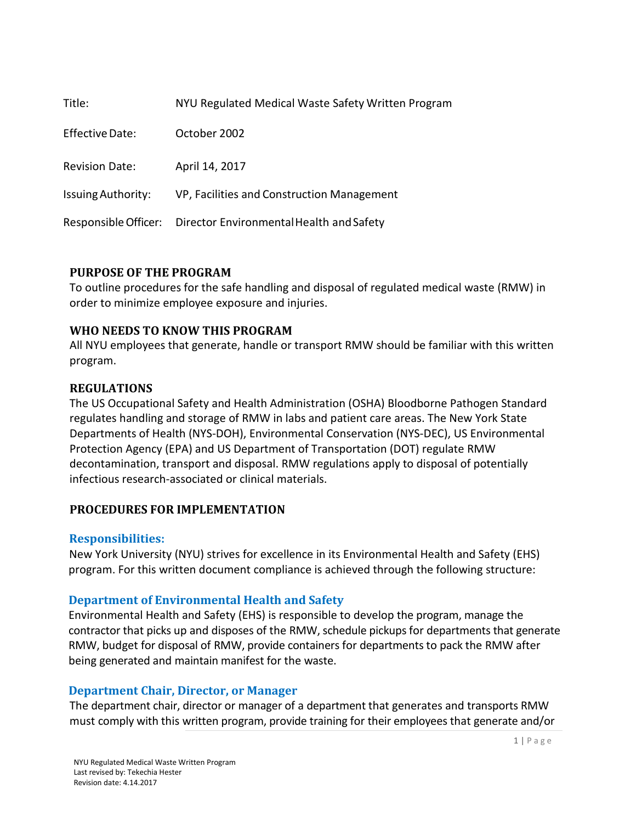| Title:                    | NYU Regulated Medical Waste Safety Written Program |
|---------------------------|----------------------------------------------------|
| <b>Effective Date:</b>    | October 2002                                       |
| <b>Revision Date:</b>     | April 14, 2017                                     |
| <b>Issuing Authority:</b> | VP, Facilities and Construction Management         |
| Responsible Officer:      | Director Environmental Health and Safety           |

### **PURPOSE OF THE PROGRAM**

To outline procedures for the safe handling and disposal of regulated medical waste (RMW) in order to minimize employee exposure and injuries.

### **WHO NEEDS TO KNOW THIS PROGRAM**

All NYU employees that generate, handle or transport RMW should be familiar with this written program.

### **REGULATIONS**

The US Occupational Safety and Health Administration (OSHA) Bloodborne Pathogen Standard regulates handling and storage of RMW in labs and patient care areas. The New York State Departments of Health (NYS-DOH), Environmental Conservation (NYS-DEC), US Environmental Protection Agency (EPA) and US Department of Transportation (DOT) regulate RMW decontamination, transport and disposal. RMW regulations apply to disposal of potentially infectious research-associated or clinical materials.

### **PROCEDURES FOR IMPLEMENTATION**

#### **Responsibilities:**

New York University (NYU) strives for excellence in its Environmental Health and Safety (EHS) program. For this written document compliance is achieved through the following structure:

### **Department of Environmental Health and Safety**

Environmental Health and Safety (EHS) is responsible to develop the program, manage the contractor that picks up and disposes of the RMW, schedule pickups for departments that generate RMW, budget for disposal of RMW, provide containers for departments to pack the RMW after being generated and maintain manifest for the waste.

### **Department Chair, Director, or Manager**

The department chair, director or manager of a department that generates and transports RMW must comply with this written program, provide training for their employees that generate and/or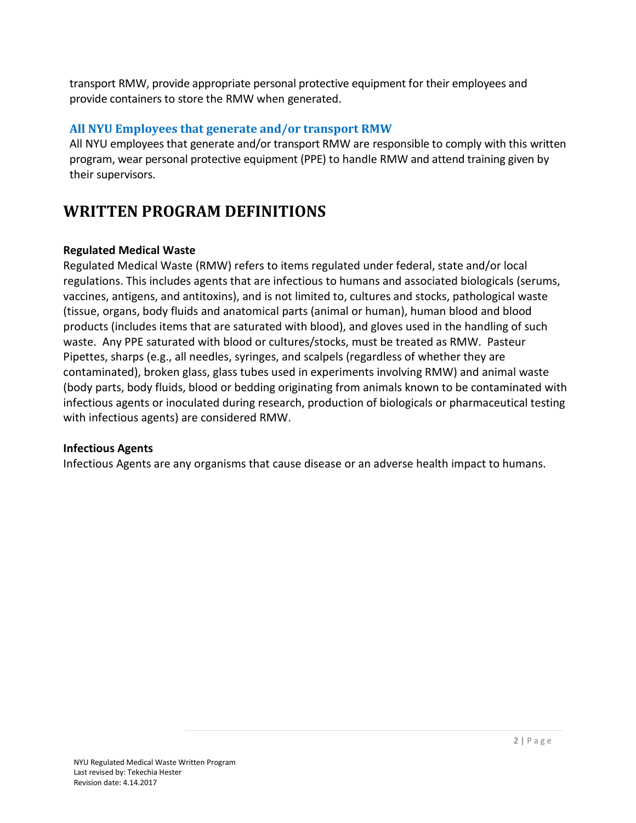transport RMW, provide appropriate personal protective equipment for their employees and provide containers to store the RMW when generated.

### **All NYU Employees that generate and/or transport RMW**

All NYU employees that generate and/or transport RMW are responsible to comply with this written program, wear personal protective equipment (PPE) to handle RMW and attend training given by their supervisors.

## **WRITTEN PROGRAM DEFINITIONS**

### **Regulated Medical Waste**

Regulated Medical Waste (RMW) refers to items regulated under federal, state and/or local regulations. This includes agents that are infectious to humans and associated biologicals (serums, vaccines, antigens, and antitoxins), and is not limited to, cultures and stocks, pathological waste (tissue, organs, body fluids and anatomical parts (animal or human), human blood and blood products (includes items that are saturated with blood), and gloves used in the handling of such waste. Any PPE saturated with blood or cultures/stocks, must be treated as RMW. Pasteur Pipettes, sharps (e.g., all needles, syringes, and scalpels (regardless of whether they are contaminated), broken glass, glass tubes used in experiments involving RMW) and animal waste (body parts, body fluids, blood or bedding originating from animals known to be contaminated with infectious agents or inoculated during research, production of biologicals or pharmaceutical testing with infectious agents) are considered RMW.

### **Infectious Agents**

Infectious Agents are any organisms that cause disease or an adverse health impact to humans.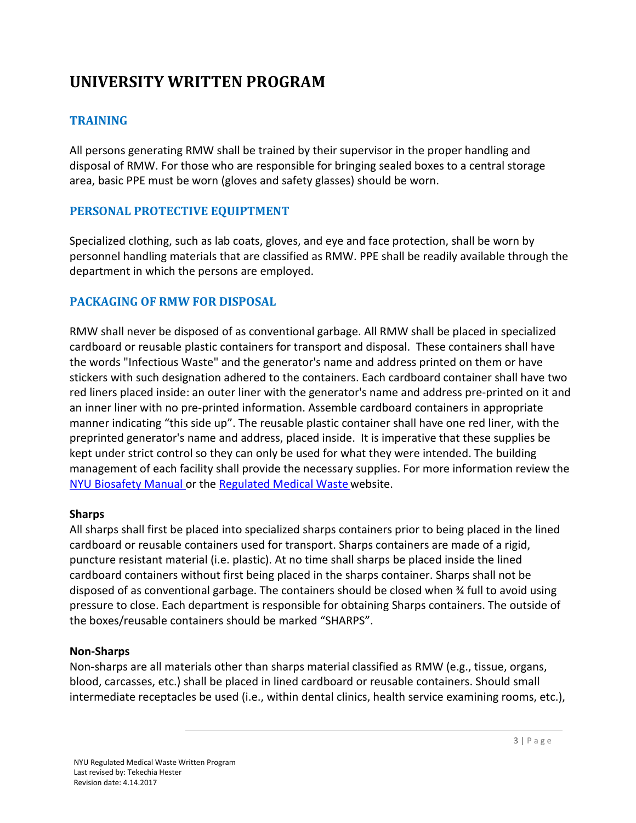# **UNIVERSITY WRITTEN PROGRAM**

### **TRAINING**

All persons generating RMW shall be trained by their supervisor in the proper handling and disposal of RMW. For those who are responsible for bringing sealed boxes to a central storage area, basic PPE must be worn (gloves and safety glasses) should be worn.

### **PERSONAL PROTECTIVE EQUIPTMENT**

Specialized clothing, such as lab coats, gloves, and eye and face protection, shall be worn by personnel handling materials that are classified as RMW. PPE shall be readily available through the department in which the persons are employed.

### **PACKAGING OF RMW FOR DISPOSAL**

RMW shall never be disposed of as conventional garbage. All RMW shall be placed in specialized cardboard or reusable plastic containers for transport and disposal. These containers shall have the words "Infectious Waste" and the generator's name and address printed on them or have stickers with such designation adhered to the containers. Each cardboard container shall have two red liners placed inside: an outer liner with the generator's name and address pre-printed on it and an inner liner with no pre-printed information. Assemble cardboard containers in appropriate manner indicating "this side up". The reusable plastic container shall have one red liner, with the preprinted generator's name and address, placed inside. It is imperative that these supplies be kept under strict control so they can only be used for what they were intended. The building management of each facility shall provide the necessary supplies. For more information review the [NYU Biosafety Manual o](https://www.nyu.edu/life/safety-health-wellness/be-safe/environmental-health-and-safety/programs/biosafety/biosafety-manual.html)r the [Regulated Medical Waste](https://www.nyu.edu/life/safety-health-wellness/be-safe/environmental-health-and-safety/waste-disposal/biological-regulated-medical-waste.html) website.

### **Sharps**

All sharps shall first be placed into specialized sharps containers prior to being placed in the lined cardboard or reusable containers used for transport. Sharps containers are made of a rigid, puncture resistant material (i.e. plastic). At no time shall sharps be placed inside the lined cardboard containers without first being placed in the sharps container. Sharps shall not be disposed of as conventional garbage. The containers should be closed when ¾ full to avoid using pressure to close. Each department is responsible for obtaining Sharps containers. The outside of the boxes/reusable containers should be marked "SHARPS".

### **Non-Sharps**

Non-sharps are all materials other than sharps material classified as RMW (e.g., tissue, organs, blood, carcasses, etc.) shall be placed in lined cardboard or reusable containers. Should small intermediate receptacles be used (i.e., within dental clinics, health service examining rooms, etc.),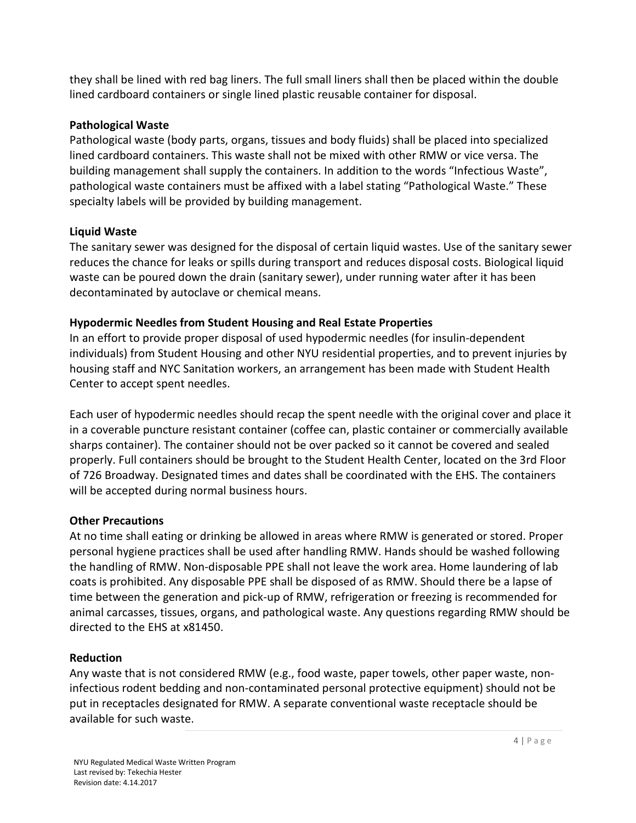they shall be lined with red bag liners. The full small liners shall then be placed within the double lined cardboard containers or single lined plastic reusable container for disposal.

### **Pathological Waste**

Pathological waste (body parts, organs, tissues and body fluids) shall be placed into specialized lined cardboard containers. This waste shall not be mixed with other RMW or vice versa. The building management shall supply the containers. In addition to the words "Infectious Waste", pathological waste containers must be affixed with a label stating "Pathological Waste." These specialty labels will be provided by building management.

### **Liquid Waste**

The sanitary sewer was designed for the disposal of certain liquid wastes. Use of the sanitary sewer reduces the chance for leaks or spills during transport and reduces disposal costs. Biological liquid waste can be poured down the drain (sanitary sewer), under running water after it has been decontaminated by autoclave or chemical means.

### **Hypodermic Needles from Student Housing and Real Estate Properties**

In an effort to provide proper disposal of used hypodermic needles (for insulin-dependent individuals) from Student Housing and other NYU residential properties, and to prevent injuries by housing staff and NYC Sanitation workers, an arrangement has been made with Student Health Center to accept spent needles.

Each user of hypodermic needles should recap the spent needle with the original cover and place it in a coverable puncture resistant container (coffee can, plastic container or commercially available sharps container). The container should not be over packed so it cannot be covered and sealed properly. Full containers should be brought to the Student Health Center, located on the 3rd Floor of 726 Broadway. Designated times and dates shall be coordinated with the EHS. The containers will be accepted during normal business hours.

### **Other Precautions**

At no time shall eating or drinking be allowed in areas where RMW is generated or stored. Proper personal hygiene practices shall be used after handling RMW. Hands should be washed following the handling of RMW. Non-disposable PPE shall not leave the work area. Home laundering of lab coats is prohibited. Any disposable PPE shall be disposed of as RMW. Should there be a lapse of time between the generation and pick-up of RMW, refrigeration or freezing is recommended for animal carcasses, tissues, organs, and pathological waste. Any questions regarding RMW should be directed to the EHS at x81450.

#### **Reduction**

Any waste that is not considered RMW (e.g., food waste, paper towels, other paper waste, noninfectious rodent bedding and non-contaminated personal protective equipment) should not be put in receptacles designated for RMW. A separate conventional waste receptacle should be available for such waste.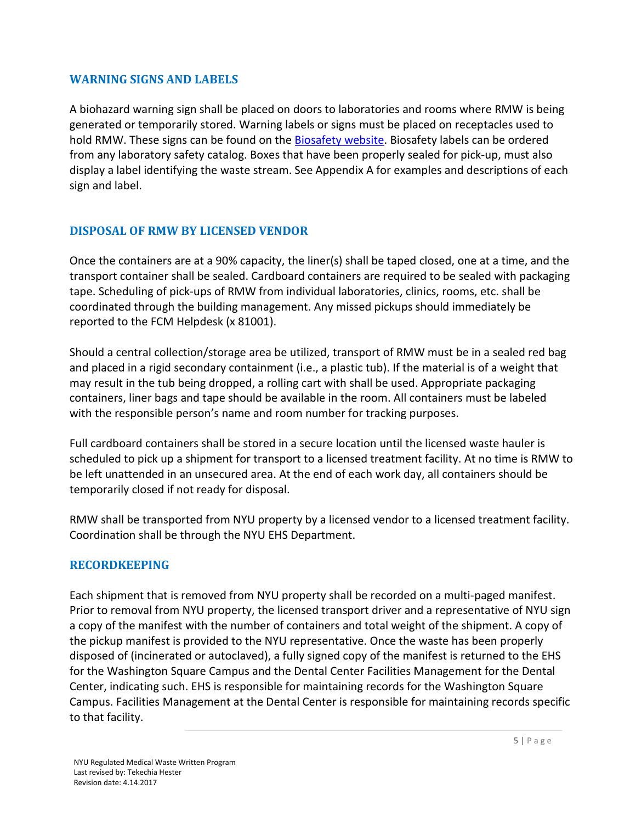### **WARNING SIGNS AND LABELS**

A biohazard warning sign shall be placed on doors to laboratories and rooms where RMW is being generated or temporarily stored. Warning labels or signs must be placed on receptacles used to hold RMW. These signs can be found on th[e Biosafety website.](https://www.nyu.edu/life/safety-health-wellness/be-safe/environmental-health-and-safety/programs/biosafety/biosafety-inspections.html) Biosafety labels can be ordered from any laboratory safety catalog. Boxes that have been properly sealed for pick-up, must also display a label identifying the waste stream. See Appendix A for examples and descriptions of each sign and label.

### **DISPOSAL OF RMW BY LICENSED VENDOR**

Once the containers are at a 90% capacity, the liner(s) shall be taped closed, one at a time, and the transport container shall be sealed. Cardboard containers are required to be sealed with packaging tape. Scheduling of pick-ups of RMW from individual laboratories, clinics, rooms, etc. shall be coordinated through the building management. Any missed pickups should immediately be reported to the FCM Helpdesk (x 81001).

Should a central collection/storage area be utilized, transport of RMW must be in a sealed red bag and placed in a rigid secondary containment (i.e., a plastic tub). If the material is of a weight that may result in the tub being dropped, a rolling cart with shall be used. Appropriate packaging containers, liner bags and tape should be available in the room. All containers must be labeled with the responsible person's name and room number for tracking purposes.

Full cardboard containers shall be stored in a secure location until the licensed waste hauler is scheduled to pick up a shipment for transport to a licensed treatment facility. At no time is RMW to be left unattended in an unsecured area. At the end of each work day, all containers should be temporarily closed if not ready for disposal.

RMW shall be transported from NYU property by a licensed vendor to a licensed treatment facility. Coordination shall be through the NYU EHS Department.

### **RECORDKEEPING**

Each shipment that is removed from NYU property shall be recorded on a multi-paged manifest. Prior to removal from NYU property, the licensed transport driver and a representative of NYU sign a copy of the manifest with the number of containers and total weight of the shipment. A copy of the pickup manifest is provided to the NYU representative. Once the waste has been properly disposed of (incinerated or autoclaved), a fully signed copy of the manifest is returned to the EHS for the Washington Square Campus and the Dental Center Facilities Management for the Dental Center, indicating such. EHS is responsible for maintaining records for the Washington Square Campus. Facilities Management at the Dental Center is responsible for maintaining records specific to that facility.